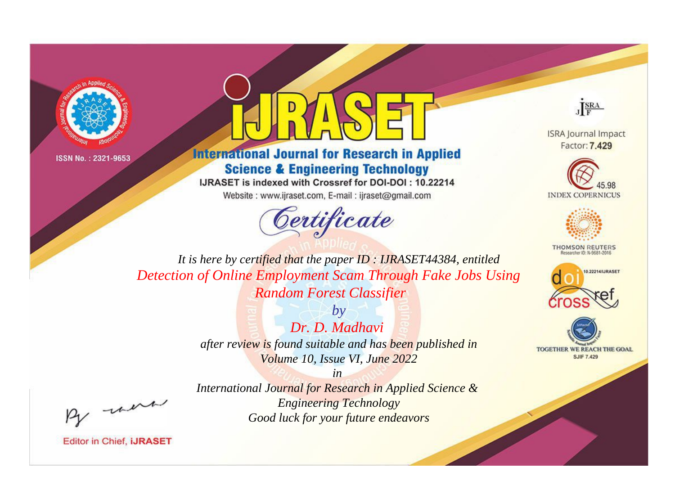



## **International Journal for Research in Applied Science & Engineering Technology**

IJRASET is indexed with Crossref for DOI-DOI: 10.22214

Website: www.ijraset.com, E-mail: ijraset@gmail.com



JERA

**ISRA Journal Impact** Factor: 7.429





**THOMSON REUTERS** 



TOGETHER WE REACH THE GOAL **SJIF 7.429** 

It is here by certified that the paper ID: IJRASET44384, entitled Detection of Online Employment Scam Through Fake Jobs Using **Random Forest Classifier** 

> $b\nu$ Dr. D. Madhavi after review is found suitable and has been published in Volume 10, Issue VI, June 2022

> > $in$

International Journal for Research in Applied Science & **Engineering Technology** Good luck for your future endeavors

were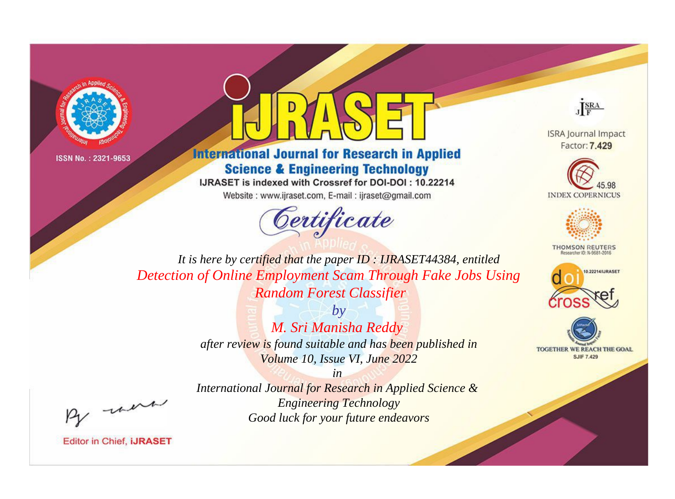



**International Journal for Research in Applied Science & Engineering Technology** 

IJRASET is indexed with Crossref for DOI-DOI: 10.22214

Website: www.ijraset.com, E-mail: ijraset@gmail.com



JERA

**ISRA Journal Impact** Factor: 7.429





**THOMSON REUTERS** 



TOGETHER WE REACH THE GOAL **SJIF 7.429** 

It is here by certified that the paper ID: IJRASET44384, entitled Detection of Online Employment Scam Through Fake Jobs Using **Random Forest Classifier** 

> $b\nu$ M. Sri Manisha Reddy after review is found suitable and has been published in Volume 10, Issue VI, June 2022

> > $in$

International Journal for Research in Applied Science & **Engineering Technology** Good luck for your future endeavors

were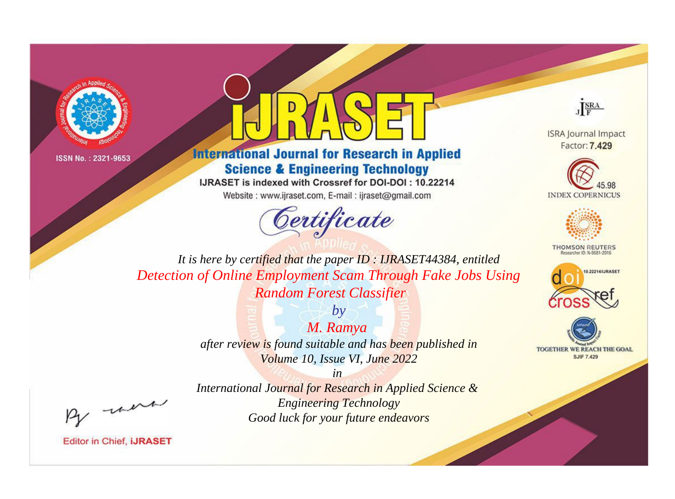



**International Journal for Research in Applied Science & Engineering Technology** 

IJRASET is indexed with Crossref for DOI-DOI: 10.22214

Website: www.ijraset.com, E-mail: ijraset@gmail.com



JERA

**ISRA Journal Impact** Factor: 7.429





**THOMSON REUTERS** 



TOGETHER WE REACH THE GOAL **SJIF 7.429** 

It is here by certified that the paper ID: IJRASET44384, entitled Detection of Online Employment Scam Through Fake Jobs Using **Random Forest Classifier** 

> M. Ramya after review is found suitable and has been published in Volume 10, Issue VI, June 2022

> > $in$

 $b\nu$ 

International Journal for Research in Applied Science & **Engineering Technology** Good luck for your future endeavors

were